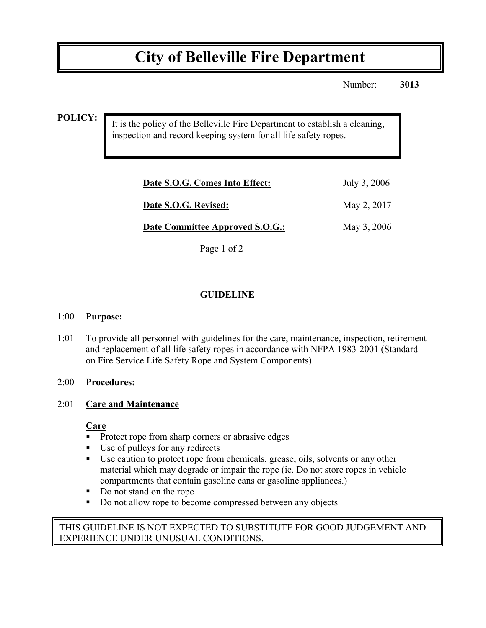# **City of Belleville Fire Department**

Number: **3013**

**POLICY:**

It is the policy of the Belleville Fire Department to establish a cleaning, inspection and record keeping system for all life safety ropes.

| Date S.O.G. Comes Into Effect:  | July 3, 2006 |
|---------------------------------|--------------|
| Date S.O.G. Revised:            | May 2, 2017  |
| Date Committee Approved S.O.G.: | May 3, 2006  |
|                                 |              |

Page 1 of 2

## **GUIDELINE**

#### 1:00 **Purpose:**

1:01 To provide all personnel with guidelines for the care, maintenance, inspection, retirement and replacement of all life safety ropes in accordance with NFPA 1983-2001 (Standard on Fire Service Life Safety Rope and System Components).

#### 2:00 **Procedures:**

#### 2:01 **Care and Maintenance**

#### **Care**

- **Protect rope from sharp corners or abrasive edges**
- Use of pulleys for any redirects
- ! Use caution to protect rope from chemicals, grease, oils, solvents or any other material which may degrade or impair the rope (ie. Do not store ropes in vehicle compartments that contain gasoline cans or gasoline appliances.)
- Do not stand on the rope
- Do not allow rope to become compressed between any objects

### THIS GUIDELINE IS NOT EXPECTED TO SUBSTITUTE FOR GOOD JUDGEMENT AND EXPERIENCE UNDER UNUSUAL CONDITIONS.